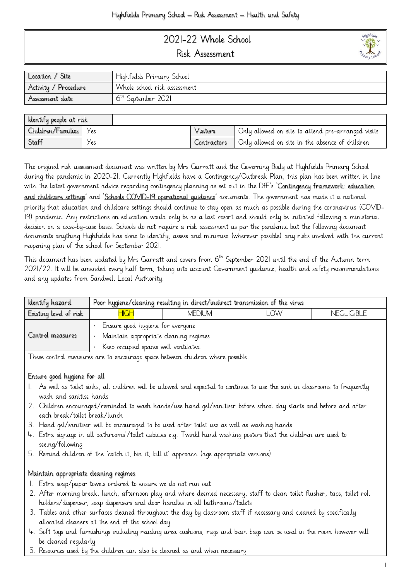# 2021-22 Whole School Risk Assessment



| ldentify people at risk |      |          |             |                                                    |
|-------------------------|------|----------|-------------|----------------------------------------------------|
| Children/Families       | Yes  | Visitors |             | Only allowed on site to attend pre-arranged visits |
| Staff                   | Y es |          | Contractors | Only allowed on site in the absence of children    |

The original risk assessment document was written by Mrs Garratt and the Governing Body at Highfields Primary School during the pandemic in 2020-21. Currently Highfields have a Contingency/Outbreak Plan, this plan has been written in line with the latest government advice regarding contingency planning as set out in the DfE's 'Contingency framework: education [and childcare settings](https://www.gov.uk/government/publications/coronavirus-covid-19-local-restrictions-in-education-and-childcare-settings?utm_source=14%20May%202021%20C19&utm_medium=Daily%20Email%20C19&utm_campaign=DfE%20C19)' and 'Schools COVID-19 operational quidance' documents. The government has made it a national priority that education and childcare settings should continue to stay open as much as possible during the coronavirus (COVID-19) pandemic. Any restrictions on education would only be as a last resort and should only be initiated following a ministerial decision on a case-by-case basis. Schools do not require a risk assessment as per the pandemic but the following document documents anything Highfields has done to identify, assess and minimise (wherever possible) any risks involved with the current reopening plan of the school for September 2021.

This document has been updated by Mrs Garratt and covers from 6<sup>th</sup> September 2021 until the end of the Autumn term 2021/22. It will be amended every half term, taking into account Government guidance, health and safety recommendations and any updates from Sandwell Local Authority.

| Existing level of risk<br><b>HIGH</b><br>l OW<br><b>NEGLIGIBLE</b><br><b>MEDIUM</b><br>Ensure good hygiene for everyone<br>Control measures<br>Maintain appropriate cleaning regimes<br>Keep occupied spaces well ventilated | ldentify hazard | Poor hygiene/cleaning resulting in direct/indirect transmission of the virus |  |  |  |
|------------------------------------------------------------------------------------------------------------------------------------------------------------------------------------------------------------------------------|-----------------|------------------------------------------------------------------------------|--|--|--|
|                                                                                                                                                                                                                              |                 |                                                                              |  |  |  |
|                                                                                                                                                                                                                              |                 |                                                                              |  |  |  |

These control measures are to encourage space between children where possible.

#### Ensure good hygiene for all

- 1. As well as toilet sinks, all children will be allowed and expected to continue to use the sink in classrooms to frequently wash and sanitise hands
- 2. Children encouraged/reminded to wash hands/use hand gel/sanitiser before school day starts and before and after each break/toilet break/lunch
- 3. Hand gel/sanitiser will be encouraged to be used after toilet use as well as washing hands
- 4. Extra signage in all bathrooms'/toilet cubicles e.g. Twinkl hand washing posters that the children are used to seeing/following
- 5. Remind children of the 'catch it, bin it, kill it' approach (age appropriate versions)

### Maintain appropriate cleaning regimes

- 1. Extra soap/paper towels ordered to ensure we do not run out
- 2. After morning break, lunch, afternoon play and where deemed necessary, staff to clean toilet flusher, taps, toilet roll holders/dispenser, soap dispensers and door handles in all bathrooms/toilets
- 3. Tables and other surfaces cleaned throughout the day by classroom staff if necessary and cleaned by specifically allocated cleaners at the end of the school day
- 4. Soft toys and furnishings including reading area cushions, rugs and bean bags can be used in the room however will be cleaned regularly
- 5. Resources used by the children can also be cleaned as and when necessary

**uighfield**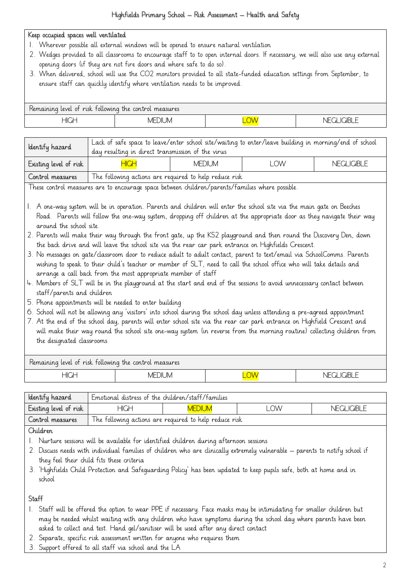## Keep occupied spaces well ventilated

- 1. Wherever possible all external windows will be opened to ensure natural ventilation
- 2. Wedges provided to all classrooms to encourage staff to to open internal doors. If necessary, we will also use any external opening doors (if they are not fire doors and where safe to do so).
- 3. When delivered, school will use the CO2 monitors provided to all state-funded education settings from September, to ensure staff can quickly identify where ventilation needs to be improved.

| Remaining level of risk following the control measures |               |                   |                     |  |
|--------------------------------------------------------|---------------|-------------------|---------------------|--|
| HIGH                                                   | <b>MEDIUM</b> | $\sqrt{11}$<br>v١ | н. ⊢<br>- 17<br>-11 |  |

| Identify hazard                                                                                                                                                                                                                                                                                                                                                                                                                                                                                                                                                                                                                                                                                                                                                                                                                                                                                                                                                                                                                                                                                                                                                                                                                                                                                                                                                                                                                                                                                                                                                   | Lack of safe space to leave/enter school site/waiting to enter/leave building in morning/end of school<br>day resulting in direct transmission of the virus |               |            |                   |
|-------------------------------------------------------------------------------------------------------------------------------------------------------------------------------------------------------------------------------------------------------------------------------------------------------------------------------------------------------------------------------------------------------------------------------------------------------------------------------------------------------------------------------------------------------------------------------------------------------------------------------------------------------------------------------------------------------------------------------------------------------------------------------------------------------------------------------------------------------------------------------------------------------------------------------------------------------------------------------------------------------------------------------------------------------------------------------------------------------------------------------------------------------------------------------------------------------------------------------------------------------------------------------------------------------------------------------------------------------------------------------------------------------------------------------------------------------------------------------------------------------------------------------------------------------------------|-------------------------------------------------------------------------------------------------------------------------------------------------------------|---------------|------------|-------------------|
| Existing level of risk                                                                                                                                                                                                                                                                                                                                                                                                                                                                                                                                                                                                                                                                                                                                                                                                                                                                                                                                                                                                                                                                                                                                                                                                                                                                                                                                                                                                                                                                                                                                            | <b>HIGH</b>                                                                                                                                                 | <b>MEDIUM</b> | <b>LOW</b> | <b>NEGLIGIBLE</b> |
| Control measures                                                                                                                                                                                                                                                                                                                                                                                                                                                                                                                                                                                                                                                                                                                                                                                                                                                                                                                                                                                                                                                                                                                                                                                                                                                                                                                                                                                                                                                                                                                                                  | The following actions are required to help reduce risk                                                                                                      |               |            |                   |
|                                                                                                                                                                                                                                                                                                                                                                                                                                                                                                                                                                                                                                                                                                                                                                                                                                                                                                                                                                                                                                                                                                                                                                                                                                                                                                                                                                                                                                                                                                                                                                   |                                                                                                                                                             |               |            |                   |
| These control measures are to encourage space between children/parents/families where possible.<br>1. A one-way system will be in operation. Parents and children will enter the school site via the main gate on Beeches<br>Road. Parents will follow the one-way system, dropping off children at the appropriate door as they navigate their way<br>around the school site.<br>2. Parents will make their way through the front gate, up the KS2 playground and then round the Discovery Den, down<br>the back drive and will leave the school site via the rear car park entrance on Highfields Crescent.<br>3. No messages on gate/classroom door to reduce adult to adult contact, parent to text/email via SchoolComms. Parents<br>wishing to speak to their child's teacher or member of SLT, need to call the school office who will take details and<br>arrange a call back from the most appropriate member of staff<br>4. Members of SLT will be in the playground at the start and end of the sessions to avoid unnecessary contact between<br>staff/parents and children<br>5. Phone appointments will be needed to enter building<br>6. School will not be allowing any 'visitors' into school during the school day unless attending a pre-agreed appointment<br>7. At the end of the school day, parents will enter school site via the rear car park entrance on Highfield Crescent and<br>will make their way round the school site one-way system (in reverse from the morning routine) collecting children from<br>the designated classrooms |                                                                                                                                                             |               |            |                   |
| Remaining level of risk following the control measures                                                                                                                                                                                                                                                                                                                                                                                                                                                                                                                                                                                                                                                                                                                                                                                                                                                                                                                                                                                                                                                                                                                                                                                                                                                                                                                                                                                                                                                                                                            |                                                                                                                                                             |               |            |                   |
| <b>HIGH</b>                                                                                                                                                                                                                                                                                                                                                                                                                                                                                                                                                                                                                                                                                                                                                                                                                                                                                                                                                                                                                                                                                                                                                                                                                                                                                                                                                                                                                                                                                                                                                       | <b>MEDIUM</b>                                                                                                                                               |               | LOW        | <b>NEGLIGIBLE</b> |

| Identify hazard        | Emotional distress of the children/staff/families       |  |  |  |
|------------------------|---------------------------------------------------------|--|--|--|
| Existing level of risk | HIGH<br><b>OW</b><br><b>NEGLIGIBLE</b><br><b>MEDIUM</b> |  |  |  |
| Control measures       | The following actions are required to help reduce risk  |  |  |  |

Children

- 1. Nurture sessions will be available for identified children during afternoon sessions
- 2. Discuss needs with individual families of children who are clinically extremely vulnerable parents to notify school if they feel their child fits these criteria
- 3. 'Highfields Child Protection and Safeguarding Policy' has been updated to keep pupils safe, both at home and in school

Staff

- 1. Staff will be offered the option to wear PPE if necessary. Face masks may be intimidating for smaller children but may be needed whilst waiting with any children who have symptoms during the school day where parents have been asked to collect and test. Hand gel/sanitiser will be used after any direct contact
- 2. Separate, specific risk assessment written for anyone who requires them
- 3. Support offered to all staff via school and the LA